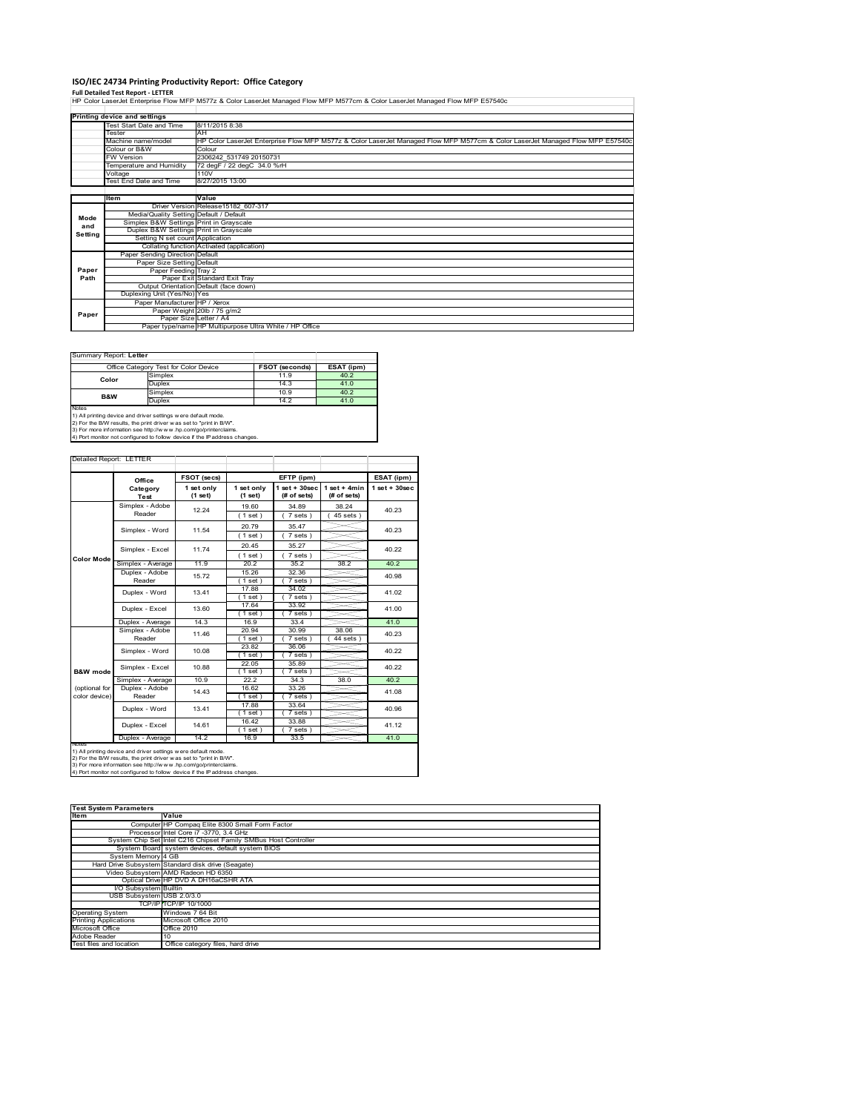**ISO/IEC 24734 Printing Productivity Report: Office Category**<br>Full Detailed Test Report - LETTER<br>HP Color LaserJet Enterprise Flow MFP M577z & Color LaserJet Managed Flow MFP M577cm & Color LaserJet Managed Flow MFP E57540

|         | Printing device and settings            |                                                                                                                                |
|---------|-----------------------------------------|--------------------------------------------------------------------------------------------------------------------------------|
|         | Test Start Date and Time                | 8/11/2015 8:38                                                                                                                 |
|         | Tester                                  | AH                                                                                                                             |
|         | Machine name/model                      | HP Color LaserJet Enterprise Flow MFP M577z & Color LaserJet Managed Flow MFP M577cm & Color LaserJet Managed Flow MFP E57540c |
|         | Colour or B&W                           | Colour                                                                                                                         |
|         | <b>FW Version</b>                       | 2306242 531749 20150731                                                                                                        |
|         | Temperature and Humidity                | 72 degF / 22 degC 34.0 %rH                                                                                                     |
|         | Voltage                                 | 110V                                                                                                                           |
|         | Test End Date and Time                  | 8/27/2015 13:00                                                                                                                |
|         |                                         |                                                                                                                                |
|         | Item                                    | Value                                                                                                                          |
|         |                                         | Driver Version Release15182 607-317                                                                                            |
| Mode    | Media/Quality Setting Default / Default |                                                                                                                                |
| and     | Simplex B&W Settings Print in Grayscale |                                                                                                                                |
| Setting | Duplex B&W Settings Print in Grayscale  |                                                                                                                                |
|         | Setting N set count Application         |                                                                                                                                |
|         |                                         | Collating function Activated (application)                                                                                     |
|         | Paper Sending Direction Default         |                                                                                                                                |
|         | Paper Size Setting Default              |                                                                                                                                |
| Paper   | Paper Feeding Tray 2                    |                                                                                                                                |
| Path    |                                         | Paper Exit Standard Exit Tray                                                                                                  |
|         |                                         | Output Orientation Default (face down)                                                                                         |
|         | Duplexing Unit (Yes/No) Yes             |                                                                                                                                |
|         | Paper Manufacturer HP / Xerox           |                                                                                                                                |
| Paper   |                                         | Paper Weight 20lb / 75 g/m2                                                                                                    |
|         |                                         | Paper Size Letter / A4                                                                                                         |
|         |                                         | Paper type/name HP Multipurpose Ultra White / HP Office                                                                        |

# Summary Report: **Letter**

| Office Category Test for Color Device |         | <b>FSOT (seconds)</b> | ESAT (ipm) |
|---------------------------------------|---------|-----------------------|------------|
| Color                                 | Simplex | 11.9                  | 40.2       |
|                                       | Duplex  | 14.3                  | 41.0       |
| <b>B&amp;W</b>                        | Simplex | 10.9                  | 40.2       |
|                                       | Duplex  | 14.2                  | 41.0       |
| Notes                                 |         |                       |            |

a k

J.

Notes<br>1) All printing device and driver settings were default mode.<br>2) For the B/W results, the print driver was set to "print in B/W".<br>3) For more information see http://www.vhp.com/go/printerclaims.<br>4) Por more informati

### Detailed Report: LETTER  $\sim$

|                     | Office                                                                         | FSOT (secs)           |                         | EFTP (ipm)                     |                                | ESAT (ipm)         |  |
|---------------------|--------------------------------------------------------------------------------|-----------------------|-------------------------|--------------------------------|--------------------------------|--------------------|--|
|                     | Category<br><b>Test</b>                                                        | 1 set only<br>(1 set) | 1 set only<br>$(1$ set) | $1$ set + 30sec<br>(# of sets) | $1 set + 4 min$<br>(# of sets) | $1$ set + $30$ sec |  |
|                     | Simplex - Adobe                                                                | 12.24                 | 19.60                   | 34.89                          | 38.24                          | 40.23              |  |
|                     | Reader                                                                         |                       | (1 set)                 | 7 sets)                        | $45$ sets $)$                  |                    |  |
|                     | Simplex - Word                                                                 | 11.54                 | 20.79                   | 35.47                          |                                | 40.23              |  |
|                     |                                                                                |                       | $1$ set)                | 7 sets)                        |                                |                    |  |
|                     | Simplex - Excel                                                                | 11.74                 | 20.45                   | 35.27                          |                                | 40.22              |  |
| <b>Color Mode</b>   |                                                                                |                       | $1$ set)                | 7 sets 1                       |                                |                    |  |
|                     | Simplex - Average                                                              | 11.9                  | 20.2                    | 352                            | 38.2                           | 40.2               |  |
|                     | Duplex - Adobe                                                                 | 15.72                 | 15.26                   | 32.36                          |                                | 40.98              |  |
|                     | Reader                                                                         |                       | $1$ set $)$             | 7 sets)                        |                                |                    |  |
|                     | Duplex - Word                                                                  | 13.41                 | 17.88                   | 34.02                          |                                | 41.02              |  |
|                     |                                                                                |                       | $1$ set)                | 7 sets)                        |                                |                    |  |
|                     | Duplex - Excel                                                                 | 13.60                 | 17.64                   | 33.92                          |                                | 41.00              |  |
|                     |                                                                                |                       | $1$ set $)$             | 7 sets                         |                                |                    |  |
|                     | Duplex - Average                                                               | 14.3                  | 16.9                    | 33.4                           |                                | 41.0               |  |
|                     | Simplex - Adobe                                                                | 11.46                 | 20.94                   | 30.99                          | 38.06                          | 40.23              |  |
|                     | Reader                                                                         |                       | (1 set)                 | 7 sets)                        | 44 sets                        |                    |  |
|                     | Simplex - Word                                                                 | 10.08                 | 23.82                   | 36.06                          |                                | 40.22              |  |
|                     |                                                                                |                       | $1$ set)                | 7 sets)                        |                                |                    |  |
|                     | Simplex - Excel                                                                | 10.88                 | 22.05                   | 35.89                          |                                | 40.22              |  |
| <b>B&amp;W</b> mode |                                                                                |                       | $1$ set)                | $7 sets$ )                     |                                |                    |  |
|                     | Simplex - Average                                                              | 10.9                  | 22.2                    | 34.3                           | 38.0                           | 40.2               |  |
| (optional for       | Duplex - Adobe                                                                 | 14.43                 | 16.62                   | 33.26                          |                                | 41.08              |  |
| color device)       | Reader                                                                         |                       | $1$ set)                | 7 sets)                        |                                |                    |  |
|                     | Duplex - Word                                                                  | 13.41                 | 17.88                   | 33.64                          |                                | 40.96              |  |
|                     |                                                                                |                       | $1$ set                 | 7 sets )                       |                                |                    |  |
|                     | Duplex - Excel                                                                 | 14.61                 | 16.42                   | 33.88                          |                                | 41.12              |  |
|                     |                                                                                |                       | $1$ set)                | 7 sets )                       |                                |                    |  |
|                     | Duplex - Average                                                               | 14.2                  | 16.9                    | 33.5                           |                                | 41.0               |  |
|                     | <b>INOTES</b><br>1) All printing device and driver cettings were default mode. |                       |                         |                                |                                |                    |  |

1) All printing device and driver settings w ere default mode.<br>2) For the B/W results, the print driver was set to "print in B/W".<br>3) For more information see http://www.hp.com/go/printerclaims.<br>4) Port monitor not configu

| <b>Test System Parameters</b> |                                                                 |  |  |  |
|-------------------------------|-----------------------------------------------------------------|--|--|--|
| <b>Item</b>                   | Value                                                           |  |  |  |
|                               | Computer HP Compaq Elite 8300 Small Form Factor                 |  |  |  |
|                               | Processor Intel Core i7 -3770, 3.4 GHz                          |  |  |  |
|                               | System Chip Set Intel C216 Chipset Family SMBus Host Controller |  |  |  |
|                               | System Board system devices, default system BIOS                |  |  |  |
| System Memory 4 GB            |                                                                 |  |  |  |
|                               | Hard Drive Subsystem Standard disk drive (Seagate)              |  |  |  |
|                               | Video Subsystem AMD Radeon HD 6350                              |  |  |  |
|                               | Optical Drive HP DVD A DH16aCSHR ATA                            |  |  |  |
| I/O Subsystem Builtin         |                                                                 |  |  |  |
| USB Subsystem USB 2.0/3.0     |                                                                 |  |  |  |
|                               | TCP/IP TCP/IP 10/1000                                           |  |  |  |
| <b>Operating System</b>       | Windows 7 64 Bit                                                |  |  |  |
| <b>Printing Applications</b>  | Microsoft Office 2010                                           |  |  |  |
| Microsoft Office              | Office 2010                                                     |  |  |  |
| Adobe Reader                  | 10                                                              |  |  |  |
| Test files and location       | Office category files, hard drive                               |  |  |  |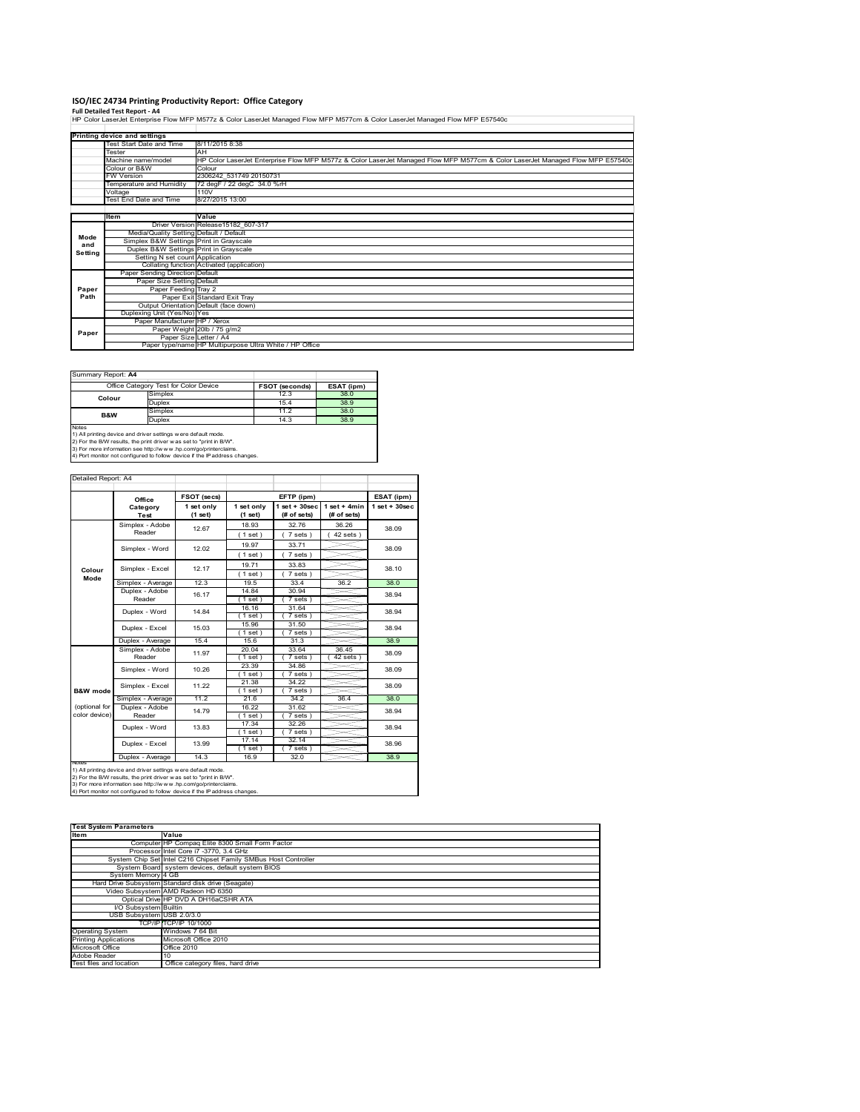I**SO/IEC 24734 Printing Productivity Report: Office Category**<br>Full Detailed Test Report - A4<br>HP Color LaserJet Enterprise Flow MFP M577z & Color LaserJet Managed Flow MFP M577cm & Color LaserJet Managed Flow MFP E57540c

|         | Printing device and settings            |                                                                                                                                |
|---------|-----------------------------------------|--------------------------------------------------------------------------------------------------------------------------------|
|         | Test Start Date and Time                | 8/11/2015 8:38                                                                                                                 |
|         | Tester                                  | AH                                                                                                                             |
|         | Machine name/model                      | HP Color LaserJet Enterprise Flow MFP M577z & Color LaserJet Managed Flow MFP M577cm & Color LaserJet Managed Flow MFP E57540c |
|         | Colour or B&W                           | Colour                                                                                                                         |
|         | <b>FW Version</b>                       | 2306242 531749 20150731                                                                                                        |
|         | Temperature and Humidity                | 72 degF / 22 degC 34.0 %rH                                                                                                     |
|         | Voltage                                 | 110V                                                                                                                           |
|         | <b>Test End Date and Time</b>           | 8/27/2015 13:00                                                                                                                |
|         |                                         |                                                                                                                                |
|         | Item                                    | Value                                                                                                                          |
|         |                                         | Driver Version Release15182 607-317                                                                                            |
| Mode    | Media/Quality Setting Default / Default |                                                                                                                                |
| and     | Simplex B&W Settings Print in Grayscale |                                                                                                                                |
| Setting | Duplex B&W Settings Print in Grayscale  |                                                                                                                                |
|         | Setting N set count Application         |                                                                                                                                |
|         |                                         | Collating function Activated (application)                                                                                     |
|         | Paper Sending Direction Default         |                                                                                                                                |
|         | Paper Size Setting Default              |                                                                                                                                |
| Paper   | Paper Feeding Tray 2                    |                                                                                                                                |
| Path    |                                         | Paper Exit Standard Exit Tray                                                                                                  |
|         |                                         | Output Orientation Default (face down)                                                                                         |
|         | Duplexing Unit (Yes/No) Yes             |                                                                                                                                |
|         | Paper Manufacturer HP / Xerox           |                                                                                                                                |
| Paper   |                                         | Paper Weight 20lb / 75 g/m2                                                                                                    |
|         |                                         | Paper Size Letter / A4                                                                                                         |
|         |                                         | Paper type/name HP Multipurpose Ultra White / HP Office                                                                        |

| Summary Report: A4 |  |
|--------------------|--|

| <b>JUILLIU REUULLA H</b>              |         |                       |            |
|---------------------------------------|---------|-----------------------|------------|
| Office Category Test for Color Device |         | <b>FSOT (seconds)</b> | ESAT (ipm) |
| Colour                                | Simplex | 12.3                  | 38.0       |
|                                       | Duplex  | 15.4                  | 38.9       |
| <b>B&amp;W</b>                        | Simplex | 11.2                  | 38.0       |
|                                       | Duplex  | 14.3                  | 38.9       |
| Notes                                 |         |                       |            |

Notes<br>1) All printing device and driver settings w ere default mode.<br>2) For the B/W results, the print driver was set to "print in B/W".<br>3) For more information see http://www.hp.com/go/printerclaims.<br>4) Por more informati

|                                | Office                    | FSOT (secs)           |                         | EFTP (ipm)                        |                               | ESAT (ipm)        |
|--------------------------------|---------------------------|-----------------------|-------------------------|-----------------------------------|-------------------------------|-------------------|
|                                | Category<br>Test          | 1 set only<br>(1 set) | 1 set only<br>$(1$ set) | $1$ set + $30$ sec<br>(# of sets) | $1$ set + 4min<br>(# of sets) | $1$ set $+30$ sec |
|                                | Simplex - Adobe<br>Reader | 12.67                 | 18.93<br>(1 set)        | 32.76<br>7 sets)                  | 36.26<br>$42$ sets)           | 38.09             |
|                                | Simplex - Word            | 12.02                 | 19.97<br>(1 set)        | 33.71<br>7 sets                   |                               | 38.09             |
| Colour                         | Simplex - Excel           | 12.17                 | 19.71<br>(1 set)        | 33.83<br>$7 sets$ )               |                               | 38.10             |
| Mode                           | Simplex - Average         | 12.3                  | 19.5                    | 33.4                              | 36.2                          | 38.0              |
|                                | Duplex - Adobe<br>Reader  | 16.17                 | 14.84<br>$1$ set)       | 30.94<br>$7 sets$ )               |                               | 38.94             |
|                                | Duplex - Word             | 14.84                 | 16.16<br>1 set)         | 31.64<br>7 sets)                  |                               | 38.94             |
|                                | Duplex - Excel            | 15.03                 | 15.96<br>(1 set )       | 31.50<br>7 sets)                  |                               | 38.94             |
|                                | Duplex - Average          | 15.4                  | 15.6                    | 31.3                              |                               | 38.9              |
|                                | Simplex - Adobe<br>Reader | 11.97                 | 20.04<br>$1$ set)       | 33.64<br>$7 sets$ )               | 36.45<br>42 sets              | 38.09             |
|                                | Simplex - Word            | 10.26                 | 23.39<br>(1 set)        | 34.86<br>7 sets)                  |                               | 38.09             |
| B&W mode                       | Simplex - Excel           | 11.22                 | 21.38<br>(1 set)        | 34 22<br>7 sets                   |                               | 38.09             |
|                                | Simplex - Average         | 11.2                  | 21.6                    | 34.2                              | 36.4                          | 38.0              |
| (optional for<br>color device) | Duplex - Adobe<br>Reader  | 14.79                 | 16.22<br>$1$ set)       | 31.62<br>7 sets                   |                               | 38.94             |
|                                | Duplex - Word             | 13.83                 | 17.34<br>$1$ set)       | 32.26<br>7 sets)                  |                               | 38.94             |
|                                | Duplex - Excel            | 13.99                 | 17.14<br>$1$ set)       | 32.14<br>7 sets 1                 |                               | 38.96             |
|                                | Duplex - Average          | 14.3                  | 16.9                    | 32.0                              |                               | 38.9              |

1) All printing device and driver settings w ere default mode.<br>2) For the B/W results, the print driver was set to "print in B/W".<br>3) For more information see http://www.hp.com/go/printerclaims.<br>4) Port monitor not configu

| <b>Test System Parameters</b> |                                                                 |
|-------------------------------|-----------------------------------------------------------------|
| <b>Item</b>                   | Value                                                           |
|                               | Computer HP Compaq Elite 8300 Small Form Factor                 |
|                               | Processor Intel Core i7 -3770, 3.4 GHz                          |
|                               | System Chip Set Intel C216 Chipset Family SMBus Host Controller |
|                               | System Board system devices, default system BIOS                |
| System Memory 4 GB            |                                                                 |
|                               | Hard Drive Subsystem Standard disk drive (Seagate)              |
|                               | Video Subsystem AMD Radeon HD 6350                              |
|                               | Optical Drive HP DVD A DH16aCSHR ATA                            |
| I/O Subsystem Builtin         |                                                                 |
| USB Subsystem USB 2.0/3.0     |                                                                 |
|                               | TCP/IP TCP/IP 10/1000                                           |
| <b>Operating System</b>       | Windows 7 64 Bit                                                |
| <b>Printing Applications</b>  | Microsoft Office 2010                                           |
| Microsoft Office              | Office 2010                                                     |
| Adobe Reader                  | 10                                                              |
| Test files and location       | Office category files, hard drive                               |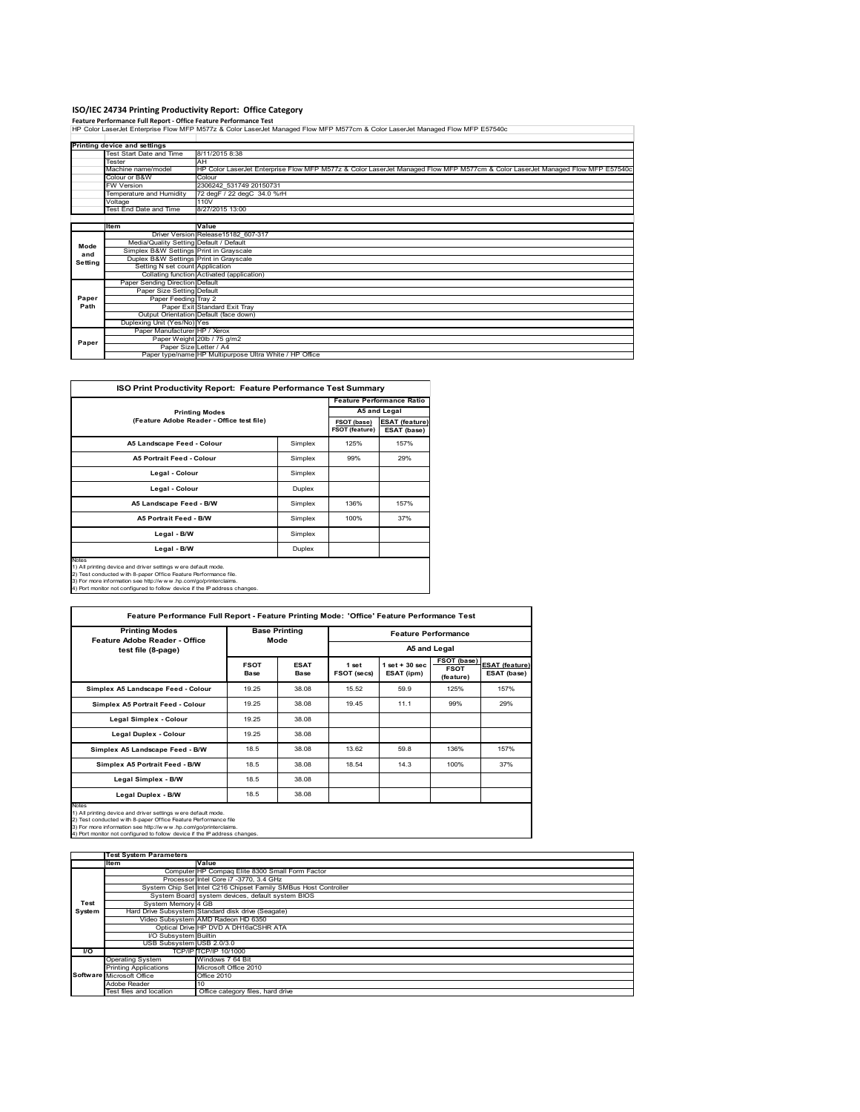ISO/IEC 24734 Printing Productivity Report: Office Category<br>Feature Performance Full Report - Office Feature Performance Test<br>HP Color LaserJet Enterprise Flow MFP M577z & Color LaserJet Managed Flow MFP M577cm & Color Las

|         | Printing device and settings            |                                                                                                                                |
|---------|-----------------------------------------|--------------------------------------------------------------------------------------------------------------------------------|
|         | Test Start Date and Time                | 8/11/2015 8:38                                                                                                                 |
|         | Tester                                  | AH                                                                                                                             |
|         | Machine name/model                      | HP Color LaserJet Enterprise Flow MFP M577z & Color LaserJet Managed Flow MFP M577cm & Color LaserJet Managed Flow MFP E57540c |
|         | Colour or B&W                           | Colour                                                                                                                         |
|         | <b>FW Version</b>                       | 2306242 531749 20150731                                                                                                        |
|         | Temperature and Humidity                | 72 degF / 22 degC 34.0 %rH                                                                                                     |
|         | Voltage                                 | 110V                                                                                                                           |
|         | Test End Date and Time                  | 8/27/2015 13:00                                                                                                                |
|         |                                         |                                                                                                                                |
|         | Item                                    | Value                                                                                                                          |
|         |                                         | Driver Version Release15182 607-317                                                                                            |
| Mode    | Media/Quality Setting Default / Default |                                                                                                                                |
| and     | Simplex B&W Settings Print in Grayscale |                                                                                                                                |
| Setting | Duplex B&W Settings Print in Grayscale  |                                                                                                                                |
|         | Setting N set count Application         |                                                                                                                                |
|         |                                         | Collating function Activated (application)                                                                                     |
|         | Paper Sending Direction Default         |                                                                                                                                |
|         | Paper Size Setting Default              |                                                                                                                                |
| Paper   | Paper Feeding Tray 2                    |                                                                                                                                |
| Path    |                                         | Paper Exit Standard Exit Tray                                                                                                  |
|         |                                         | Output Orientation Default (face down)                                                                                         |
|         | Duplexing Unit (Yes/No) Yes             |                                                                                                                                |
|         | Paper Manufacturer HP / Xerox           |                                                                                                                                |
|         |                                         | Paper Weight 20lb / 75 g/m2                                                                                                    |
| Paper   | Paper Size Letter / A4                  |                                                                                                                                |
|         |                                         | Paper type/name HP Multipurpose Ultra White / HP Office                                                                        |

| ISO Print Productivity Report: Feature Performance Test Summary                                                                                                                                                                                                                            |         |                               |                                      |  |  |
|--------------------------------------------------------------------------------------------------------------------------------------------------------------------------------------------------------------------------------------------------------------------------------------------|---------|-------------------------------|--------------------------------------|--|--|
|                                                                                                                                                                                                                                                                                            |         |                               |                                      |  |  |
| <b>Printing Modes</b>                                                                                                                                                                                                                                                                      |         | A5 and Legal                  |                                      |  |  |
| (Feature Adobe Reader - Office test file)                                                                                                                                                                                                                                                  |         | FSOT (base)<br>FSOT (feature) | <b>ESAT (feature)</b><br>ESAT (base) |  |  |
| A5 Landscape Feed - Colour                                                                                                                                                                                                                                                                 | Simplex | 125%                          | 157%                                 |  |  |
| <b>A5 Portrait Feed - Colour</b>                                                                                                                                                                                                                                                           | Simplex | 99%                           | 29%                                  |  |  |
| Legal - Colour                                                                                                                                                                                                                                                                             | Simplex |                               |                                      |  |  |
| Legal - Colour                                                                                                                                                                                                                                                                             | Duplex  |                               |                                      |  |  |
| A5 Landscape Feed - B/W                                                                                                                                                                                                                                                                    | Simplex | 136%                          | 157%                                 |  |  |
| A5 Portrait Feed - B/W                                                                                                                                                                                                                                                                     | Simplex | 100%                          | 37%                                  |  |  |
| Legal - B/W                                                                                                                                                                                                                                                                                | Simplex |                               |                                      |  |  |
| Legal - B/W                                                                                                                                                                                                                                                                                | Duplex  |                               |                                      |  |  |
| Notes<br>1) All printing device and driver settings were default mode.<br>2) Test conducted with 8-paper Office Feature Performance file.<br>3) For more information see http://www.hp.com/go/printerclaims.<br>4) Port monitor not configured to follow device if the IP address changes. |         |                               |                                      |  |  |

| <b>Printing Modes</b><br>Feature Adobe Reader - Office |                     | <b>Base Printing</b><br>Mode |                      | <b>Feature Performance</b><br>A5 and Legal |                                         |                               |  |
|--------------------------------------------------------|---------------------|------------------------------|----------------------|--------------------------------------------|-----------------------------------------|-------------------------------|--|
| test file (8-page)                                     |                     |                              |                      |                                            |                                         |                               |  |
|                                                        | <b>FSOT</b><br>Base | <b>ESAT</b><br>Base          | 1 set<br>FSOT (secs) | $1$ set $+30$ sec<br>ESAT (ipm)            | FSOT (base)<br><b>FSOT</b><br>(feature) | ESAT (feature)<br>ESAT (base) |  |
| Simplex A5 Landscape Feed - Colour                     | 19.25               | 38.08                        | 15.52                | 59.9                                       | 125%                                    | 157%                          |  |
| Simplex A5 Portrait Feed - Colour                      | 19.25               | 38.08                        | 19.45                | 11.1                                       | 99%                                     | 29%                           |  |
| Legal Simplex - Colour                                 | 19.25               | 38.08                        |                      |                                            |                                         |                               |  |
| Legal Duplex - Colour                                  | 19.25               | 38.08                        |                      |                                            |                                         |                               |  |
| Simplex A5 Landscape Feed - B/W                        | 18.5                | 38.08                        | 13.62                | 59.8                                       | 136%                                    | 157%                          |  |
| Simplex A5 Portrait Feed - B/W                         | 18.5                | 38.08                        | 18.54                | 14.3                                       | 100%                                    | 37%                           |  |
| Legal Simplex - B/W                                    | 18.5                | 38.08                        |                      |                                            |                                         |                               |  |
| Legal Duplex - B/W                                     | 18.5                | 38.08                        |                      |                                            |                                         |                               |  |

|        | <b>Test System Parameters</b> |                                                                 |  |
|--------|-------------------------------|-----------------------------------------------------------------|--|
|        | Item                          | Value                                                           |  |
|        |                               | Computer HP Compaq Elite 8300 Small Form Factor                 |  |
|        |                               | Processor Intel Core i7 -3770, 3.4 GHz                          |  |
|        |                               | System Chip Set Intel C216 Chipset Family SMBus Host Controller |  |
|        |                               | System Board system devices, default system BIOS                |  |
| Test   | System Memory 4 GB            |                                                                 |  |
| System |                               | Hard Drive Subsystem Standard disk drive (Seagate)              |  |
|        |                               | Video Subsystem AMD Radeon HD 6350                              |  |
|        |                               | Optical Drive HP DVD A DH16aCSHR ATA                            |  |
|        | I/O Subsystem Builtin         |                                                                 |  |
|        | USB Subsystem USB 2.0/3.0     |                                                                 |  |
| I/O    |                               | TCP/IP ITCP/IP 10/1000                                          |  |
|        | <b>Operating System</b>       | Windows 7 64 Bit                                                |  |
|        | <b>Printing Applications</b>  | Microsoft Office 2010                                           |  |
|        | Software Microsoft Office     | Office 2010                                                     |  |
|        | Adobe Reader                  | 10                                                              |  |
|        | Test files and location       | Office category files, hard drive                               |  |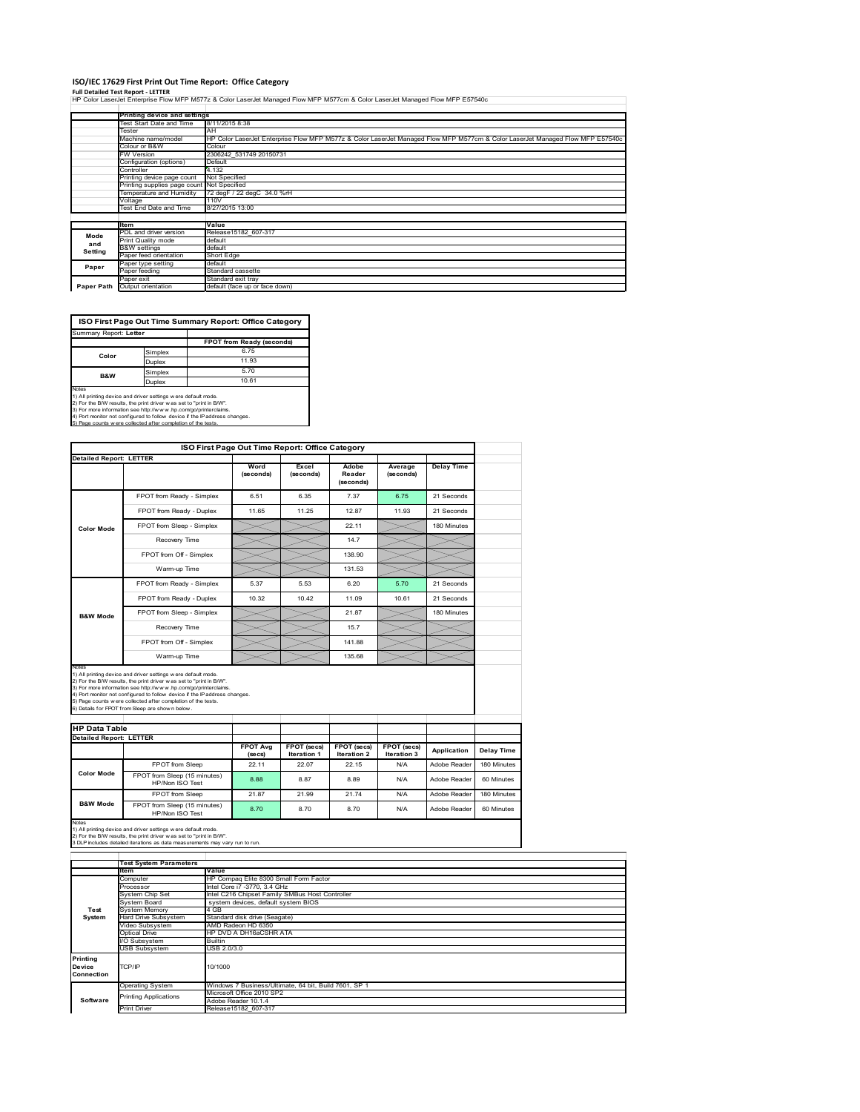## **ISO/IEC 17629 First Print Out Time Report: Office Category**

**Full Detailed Test Report ‐ LETTER** HP Color LaserJet Enterprise Flow MFP M577z & Color LaserJet Managed Flow MFP M577cm & Color LaserJet Managed Flow MFP E57540c

|            | Printing device and settings               |                                                                                                                                |  |  |  |  |  |
|------------|--------------------------------------------|--------------------------------------------------------------------------------------------------------------------------------|--|--|--|--|--|
|            | Test Start Date and Time                   | 8/11/2015 8:38                                                                                                                 |  |  |  |  |  |
|            | Tester                                     | AΗ                                                                                                                             |  |  |  |  |  |
|            | Machine name/model                         | HP Color LaserJet Enterprise Flow MFP M577z & Color LaserJet Managed Flow MFP M577cm & Color LaserJet Managed Flow MFP E57540c |  |  |  |  |  |
|            | Colour or B&W                              | Colour                                                                                                                         |  |  |  |  |  |
|            | FW Version                                 | 2306242 531749 20150731                                                                                                        |  |  |  |  |  |
|            | Configuration (options)                    | Default                                                                                                                        |  |  |  |  |  |
|            | Controller                                 | 4.132                                                                                                                          |  |  |  |  |  |
|            | Printing device page count                 | Not Specified                                                                                                                  |  |  |  |  |  |
|            | Printing supplies page count Not Specified |                                                                                                                                |  |  |  |  |  |
|            | Temperature and Humidity                   | 72 degF / 22 degC 34.0 %rH                                                                                                     |  |  |  |  |  |
|            | Voltage                                    | 110V                                                                                                                           |  |  |  |  |  |
|            | Test End Date and Time                     | 8/27/2015 13:00                                                                                                                |  |  |  |  |  |
|            |                                            |                                                                                                                                |  |  |  |  |  |
|            | ltem                                       | Value                                                                                                                          |  |  |  |  |  |
| Mode       | PDL and driver version                     | Release15182 607-317                                                                                                           |  |  |  |  |  |
| and        | <b>Print Quality mode</b>                  | default                                                                                                                        |  |  |  |  |  |
| Setting    | <b>B&amp;W</b> settings                    | default                                                                                                                        |  |  |  |  |  |
|            | Paper feed orientation                     | Short Edge                                                                                                                     |  |  |  |  |  |
| Paper      | Paper type setting                         | default                                                                                                                        |  |  |  |  |  |
|            | Paper feeding                              | Standard cassette                                                                                                              |  |  |  |  |  |
|            | Paper exit                                 | Standard exit tray                                                                                                             |  |  |  |  |  |
| Paper Path | Output orientation                         | default (face up or face down)                                                                                                 |  |  |  |  |  |

| ISO First Page Out Time Summary Report: Office Category |         |                           |  |  |  |
|---------------------------------------------------------|---------|---------------------------|--|--|--|
| Summary Report: Letter                                  |         |                           |  |  |  |
|                                                         |         | FPOT from Ready (seconds) |  |  |  |
| Color                                                   | Simplex | 6.75                      |  |  |  |
|                                                         | Duplex  | 11.93                     |  |  |  |
| <b>B&amp;W</b>                                          | Simplex | 5.70                      |  |  |  |
|                                                         |         |                           |  |  |  |

Notes<br>
Notes<br>
10.61<br>
2) For the BW result modes were default mode.<br>
2) For the BW results, the print driver was set to "print in BW.<br>
4) Port more information see http://www.hp.com/go/printerclaims.<br>
4) Port montor not co

|                                |                                                                                                                                                                                                                                                                                                                                                                                                             |                            | ISO First Page Out Time Report: Office Category |                              |                            |                   |             |
|--------------------------------|-------------------------------------------------------------------------------------------------------------------------------------------------------------------------------------------------------------------------------------------------------------------------------------------------------------------------------------------------------------------------------------------------------------|----------------------------|-------------------------------------------------|------------------------------|----------------------------|-------------------|-------------|
|                                | <b>Detailed Report: LETTER</b>                                                                                                                                                                                                                                                                                                                                                                              |                            |                                                 |                              |                            |                   |             |
|                                |                                                                                                                                                                                                                                                                                                                                                                                                             | Word<br>(seconds)          | Excel<br>(seconds)                              | Adobe<br>Reader<br>(seconds) | Average<br>(seconds)       | <b>Delay Time</b> |             |
|                                | FPOT from Ready - Simplex                                                                                                                                                                                                                                                                                                                                                                                   | 6.51                       | 6.35                                            | 7.37                         | 6.75                       | 21 Seconds        |             |
|                                | FPOT from Ready - Duplex                                                                                                                                                                                                                                                                                                                                                                                    | 11.65                      | 11.25                                           | 1287                         | 11.93                      | 21 Seconds        |             |
| <b>Color Mode</b>              | FPOT from Sleep - Simplex                                                                                                                                                                                                                                                                                                                                                                                   |                            |                                                 | 22.11                        |                            | 180 Minutes       |             |
|                                | Recovery Time                                                                                                                                                                                                                                                                                                                                                                                               |                            |                                                 | 14.7                         |                            |                   |             |
|                                | FPOT from Off - Simplex                                                                                                                                                                                                                                                                                                                                                                                     |                            |                                                 | 138.90                       |                            |                   |             |
|                                | Warm-up Time                                                                                                                                                                                                                                                                                                                                                                                                |                            |                                                 | 131.53                       |                            |                   |             |
|                                | FPOT from Ready - Simplex                                                                                                                                                                                                                                                                                                                                                                                   | 5.37                       | 5.53                                            | 6.20                         | 5.70                       | 21 Seconds        |             |
|                                | FPOT from Ready - Duplex                                                                                                                                                                                                                                                                                                                                                                                    | 10.32                      | 10.42                                           | 11.09                        | 10.61                      | 21 Seconds        |             |
| <b>B&amp;W Mode</b>            | FPOT from Sleep - Simplex                                                                                                                                                                                                                                                                                                                                                                                   |                            |                                                 | 21.87                        |                            | 180 Minutes       |             |
|                                | Recovery Time                                                                                                                                                                                                                                                                                                                                                                                               |                            |                                                 | 15.7                         |                            |                   |             |
|                                | FPOT from Off - Simplex                                                                                                                                                                                                                                                                                                                                                                                     |                            |                                                 | 141.88                       |                            |                   |             |
|                                |                                                                                                                                                                                                                                                                                                                                                                                                             |                            |                                                 |                              |                            |                   |             |
|                                | Warm-up Time                                                                                                                                                                                                                                                                                                                                                                                                |                            |                                                 | 135.68                       |                            |                   |             |
| Notes                          | 1) All printing device and driver settings w ere default mode.<br>2) For the B/W results, the print driver was set to "print in B/W".<br>3) For more information see http://www.hp.com/go/printerclaims.<br>4) Port monitor not configured to follow device if the IP address changes.<br>5) Page counts w ere collected after completion of the tests.<br>6) Details for FPOT from Sleep are show n below. |                            |                                                 |                              |                            |                   |             |
| <b>HP Data Table</b>           |                                                                                                                                                                                                                                                                                                                                                                                                             |                            |                                                 |                              |                            |                   |             |
| <b>Detailed Report: LETTER</b> |                                                                                                                                                                                                                                                                                                                                                                                                             |                            |                                                 |                              |                            |                   |             |
|                                |                                                                                                                                                                                                                                                                                                                                                                                                             | <b>FPOT Avg</b><br>(se cs) | FPOT (secs)<br><b>Iteration 1</b>               | FPOT (secs)<br>Iteration 2   | FPOT (secs)<br>Iteration 3 | Application       | Delay Time  |
|                                | FPOT from Sleep                                                                                                                                                                                                                                                                                                                                                                                             | 22.11                      | 22.07                                           | 22.15                        | N/A                        | Adobe Reader      | 180 Minutes |
| <b>Color Mode</b>              | FPOT from Sleep (15 minutes)<br>HP/Non ISO Test                                                                                                                                                                                                                                                                                                                                                             | 8.88                       | 8.87                                            | 8.89                         | N/A                        | Adobe Reader      | 60 Minutes  |
|                                | FPOT from Sleep                                                                                                                                                                                                                                                                                                                                                                                             | 21.87                      | 21.99                                           | 21.74                        | N/A                        | Adobe Reader      | 180 Minutes |

Notes<br>1) All printing device and driver settings w ere default mode.<br>2) For the B/W results, the print driver w as set to "print in B/W".<br>3 DLP includes detailed iterations as data measurements may vary run to run.

|                                         | <b>Test System Parameters</b> |                                                       |  |  |  |
|-----------------------------------------|-------------------------------|-------------------------------------------------------|--|--|--|
|                                         | ltem                          | Value                                                 |  |  |  |
|                                         | Computer                      | HP Compaq Elite 8300 Small Form Factor                |  |  |  |
|                                         | Processor                     | Intel Core i7 -3770, 3.4 GHz                          |  |  |  |
|                                         | System Chip Set               | Intel C216 Chipset Family SMBus Host Controller       |  |  |  |
|                                         | System Board                  | system devices, default system BIOS                   |  |  |  |
| Test                                    | <b>System Memory</b>          | 4 GB                                                  |  |  |  |
| System                                  | Hard Drive Subsystem          | Standard disk drive (Seagate)                         |  |  |  |
|                                         | Video Subsystem               | AMD Radeon HD 6350                                    |  |  |  |
|                                         | Optical Drive                 | HP DVD A DH16aCSHR ATA                                |  |  |  |
|                                         | I/O Subsystem                 | <b>Builtin</b>                                        |  |  |  |
|                                         | <b>USB Subsystem</b>          | USB 2.0/3.0                                           |  |  |  |
| <b>Printing</b><br>Device<br>Connection | TCP/IP                        | 10/1000                                               |  |  |  |
|                                         | <b>Operating System</b>       | Windows 7 Business/Ultimate, 64 bit, Build 7601, SP 1 |  |  |  |
|                                         | <b>Printing Applications</b>  | Microsoft Office 2010 SP2                             |  |  |  |
| Software                                |                               | Adobe Reader 10.1.4                                   |  |  |  |
|                                         | <b>Print Driver</b>           | Release15182 607-317                                  |  |  |  |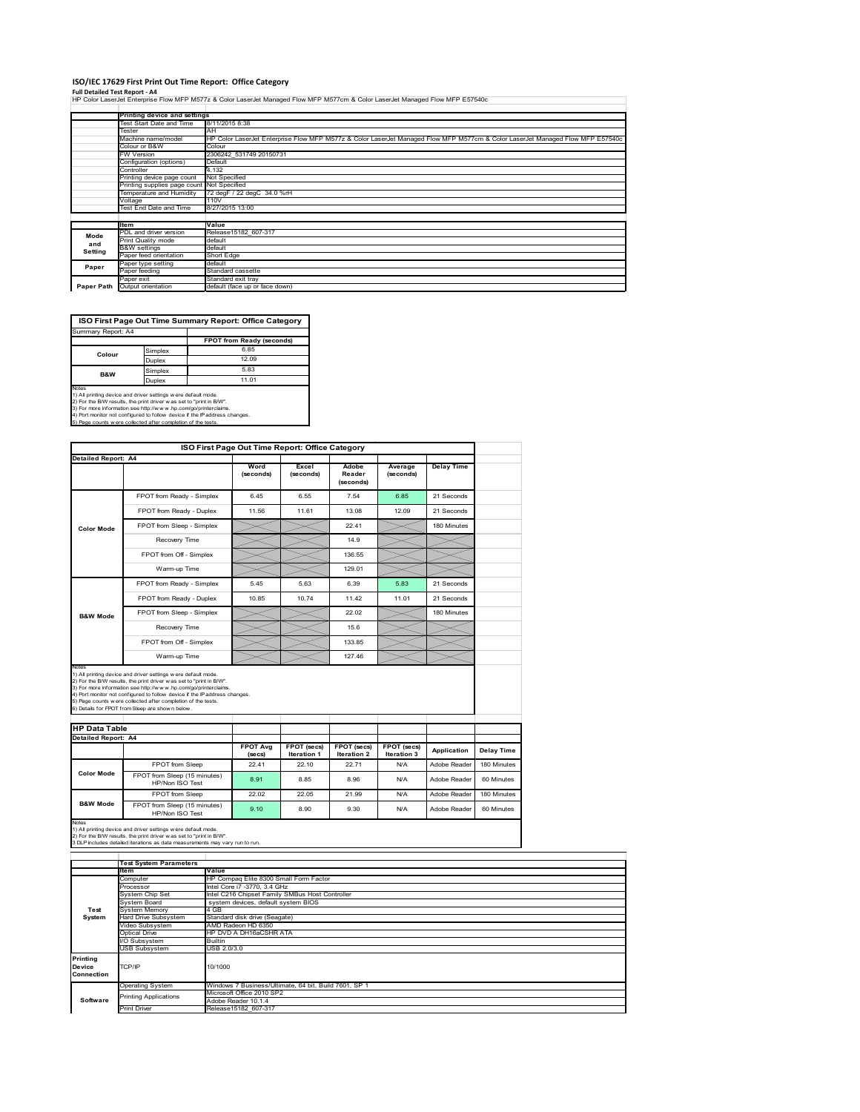### **ISO/IEC 17629 First Print Out Time Report: Office Category**

**Full Detailed Test Report ‐ A4** HP Color LaserJet Enterprise Flow MFP M577z & Color LaserJet Managed Flow MFP M577cm & Color LaserJet Managed Flow MFP E57540c

|            | Printing device and settings                                                                                                                         |                                |  |  |  |  |  |
|------------|------------------------------------------------------------------------------------------------------------------------------------------------------|--------------------------------|--|--|--|--|--|
|            | Test Start Date and Time                                                                                                                             | 8/11/2015 8:38                 |  |  |  |  |  |
|            | Tester                                                                                                                                               | AН                             |  |  |  |  |  |
|            | HP Color LaserJet Enterprise Flow MFP M577z & Color LaserJet Managed Flow MFP M577cm & Color LaserJet Managed Flow MFP E57540c<br>Machine name/model |                                |  |  |  |  |  |
|            | Colour or B&W<br>Colour                                                                                                                              |                                |  |  |  |  |  |
|            | FW Version                                                                                                                                           | 2306242 531749 20150731        |  |  |  |  |  |
|            | Configuration (options)                                                                                                                              | Default                        |  |  |  |  |  |
|            | Controller                                                                                                                                           | 4.132                          |  |  |  |  |  |
|            | Printing device page count                                                                                                                           | Not Specified                  |  |  |  |  |  |
|            | Printing supplies page count Not Specified                                                                                                           |                                |  |  |  |  |  |
|            | Temperature and Humidity                                                                                                                             | 72 degF / 22 degC 34.0 %rH     |  |  |  |  |  |
|            | Voltage                                                                                                                                              | 110V                           |  |  |  |  |  |
|            | Test End Date and Time                                                                                                                               | 8/27/2015 13:00                |  |  |  |  |  |
|            |                                                                                                                                                      |                                |  |  |  |  |  |
|            | <b>Item</b>                                                                                                                                          | Value                          |  |  |  |  |  |
| Mode       | PDL and driver version                                                                                                                               | Release15182 607-317           |  |  |  |  |  |
| and        | Print Quality mode                                                                                                                                   | default                        |  |  |  |  |  |
| Setting    | <b>B&amp;W</b> settings                                                                                                                              | default                        |  |  |  |  |  |
|            | Paper feed orientation                                                                                                                               | Short Edge                     |  |  |  |  |  |
| Paper      | Paper type setting                                                                                                                                   | default                        |  |  |  |  |  |
|            | Paper feeding                                                                                                                                        | Standard cassette              |  |  |  |  |  |
|            | Paper exit                                                                                                                                           | Standard exit tray             |  |  |  |  |  |
| Paper Path | Output orientation                                                                                                                                   | default (face up or face down) |  |  |  |  |  |



Notes<br>1) All printing device and driver settings were default mode.<br>2) For the BAV results, the print driver was set to "print in BAV".<br>3) For more information see http://www.hp.com/golprinterclaims.<br>4) Port monitor not co

| <b>Detailed Report: A4</b><br>Word<br><b>Delay Time</b><br>Excel<br>Adobe<br>Average<br>Reader<br>(seconds)<br>(seconds)<br>(seconds)<br>(seconds)<br>21 Seconds<br>6.55<br>7.54<br>6.85<br>FPOT from Ready - Simplex<br>645<br>11.56<br>11.61<br>13.08<br>12.09<br>21 Seconds<br>FPOT from Ready - Duplex<br>22 41<br>180 Minutes<br>FPOT from Sleep - Simplex<br><b>Color Mode</b><br>14.9<br>Recovery Time<br>FPOT from Off - Simplex<br>136.55<br>129.01<br>Warm-up Time<br>FPOT from Ready - Simplex<br>5.63<br>21 Seconds<br>5.45<br>6.39<br>5.83<br>FPOT from Ready - Duplex<br>1074<br>11 42<br>11.01<br>21 Seconds<br>10.85<br>22.02<br>FPOT from Sleep - Simplex<br>180 Minutes<br><b>B&amp;W Mode</b><br>156<br>Recovery Time<br>133.85<br>FPOT from Off - Simplex<br>127.46<br>Warm-up Time<br>Notes<br>1) All printing device and driver settings w ere default mode.<br>2) For the B/W results, the print driver was set to "print in B/W".<br>3) For more information see http://www.hp.com/go/printerclaims.<br>4) Port monitor not configured to follow device if the IP address changes.<br>5) Page counts w ere collected after completion of the tests.<br>6) Details for FPOT from Sleep are show n below.<br><b>HP Data Table</b><br>Detailed Report: A4<br><b>FPOT Avg</b><br>FPOT (secs)<br><b>FPOT (secs)</b><br>FPOT (secs)<br>Application<br><b>Iteration 1</b><br><b>Iteration 2</b><br><b>Iteration 3</b><br>(se cs)<br>FPOT from Sleep<br>2241<br>22 10<br>22.71<br>N/A<br>Adobe Reader<br><b>Color Mode</b><br>FPOT from Sleep (15 minutes)<br>8.91<br>8.85<br>8.96<br>N/A<br>HP/Non ISO Test<br>22.05<br>FPOT from Sleep<br>22.02<br>21.99<br>N/A<br>Adobe Reader<br><b>B&amp;W Mode</b><br>FPOT from Sleep (15 minutes)<br>9.10<br>8.90<br>9.30<br>N/A<br>HP/Non ISO Test |  | ISO First Page Out Time Report: Office Category |  |  |              |
|------------------------------------------------------------------------------------------------------------------------------------------------------------------------------------------------------------------------------------------------------------------------------------------------------------------------------------------------------------------------------------------------------------------------------------------------------------------------------------------------------------------------------------------------------------------------------------------------------------------------------------------------------------------------------------------------------------------------------------------------------------------------------------------------------------------------------------------------------------------------------------------------------------------------------------------------------------------------------------------------------------------------------------------------------------------------------------------------------------------------------------------------------------------------------------------------------------------------------------------------------------------------------------------------------------------------------------------------------------------------------------------------------------------------------------------------------------------------------------------------------------------------------------------------------------------------------------------------------------------------------------------------------------------------------------------------------------------------------------------------------------------------------------------------------------|--|-------------------------------------------------|--|--|--------------|
|                                                                                                                                                                                                                                                                                                                                                                                                                                                                                                                                                                                                                                                                                                                                                                                                                                                                                                                                                                                                                                                                                                                                                                                                                                                                                                                                                                                                                                                                                                                                                                                                                                                                                                                                                                                                            |  |                                                 |  |  |              |
|                                                                                                                                                                                                                                                                                                                                                                                                                                                                                                                                                                                                                                                                                                                                                                                                                                                                                                                                                                                                                                                                                                                                                                                                                                                                                                                                                                                                                                                                                                                                                                                                                                                                                                                                                                                                            |  |                                                 |  |  |              |
|                                                                                                                                                                                                                                                                                                                                                                                                                                                                                                                                                                                                                                                                                                                                                                                                                                                                                                                                                                                                                                                                                                                                                                                                                                                                                                                                                                                                                                                                                                                                                                                                                                                                                                                                                                                                            |  |                                                 |  |  |              |
|                                                                                                                                                                                                                                                                                                                                                                                                                                                                                                                                                                                                                                                                                                                                                                                                                                                                                                                                                                                                                                                                                                                                                                                                                                                                                                                                                                                                                                                                                                                                                                                                                                                                                                                                                                                                            |  |                                                 |  |  |              |
|                                                                                                                                                                                                                                                                                                                                                                                                                                                                                                                                                                                                                                                                                                                                                                                                                                                                                                                                                                                                                                                                                                                                                                                                                                                                                                                                                                                                                                                                                                                                                                                                                                                                                                                                                                                                            |  |                                                 |  |  |              |
|                                                                                                                                                                                                                                                                                                                                                                                                                                                                                                                                                                                                                                                                                                                                                                                                                                                                                                                                                                                                                                                                                                                                                                                                                                                                                                                                                                                                                                                                                                                                                                                                                                                                                                                                                                                                            |  |                                                 |  |  |              |
|                                                                                                                                                                                                                                                                                                                                                                                                                                                                                                                                                                                                                                                                                                                                                                                                                                                                                                                                                                                                                                                                                                                                                                                                                                                                                                                                                                                                                                                                                                                                                                                                                                                                                                                                                                                                            |  |                                                 |  |  |              |
|                                                                                                                                                                                                                                                                                                                                                                                                                                                                                                                                                                                                                                                                                                                                                                                                                                                                                                                                                                                                                                                                                                                                                                                                                                                                                                                                                                                                                                                                                                                                                                                                                                                                                                                                                                                                            |  |                                                 |  |  |              |
|                                                                                                                                                                                                                                                                                                                                                                                                                                                                                                                                                                                                                                                                                                                                                                                                                                                                                                                                                                                                                                                                                                                                                                                                                                                                                                                                                                                                                                                                                                                                                                                                                                                                                                                                                                                                            |  |                                                 |  |  |              |
|                                                                                                                                                                                                                                                                                                                                                                                                                                                                                                                                                                                                                                                                                                                                                                                                                                                                                                                                                                                                                                                                                                                                                                                                                                                                                                                                                                                                                                                                                                                                                                                                                                                                                                                                                                                                            |  |                                                 |  |  |              |
|                                                                                                                                                                                                                                                                                                                                                                                                                                                                                                                                                                                                                                                                                                                                                                                                                                                                                                                                                                                                                                                                                                                                                                                                                                                                                                                                                                                                                                                                                                                                                                                                                                                                                                                                                                                                            |  |                                                 |  |  |              |
|                                                                                                                                                                                                                                                                                                                                                                                                                                                                                                                                                                                                                                                                                                                                                                                                                                                                                                                                                                                                                                                                                                                                                                                                                                                                                                                                                                                                                                                                                                                                                                                                                                                                                                                                                                                                            |  |                                                 |  |  |              |
|                                                                                                                                                                                                                                                                                                                                                                                                                                                                                                                                                                                                                                                                                                                                                                                                                                                                                                                                                                                                                                                                                                                                                                                                                                                                                                                                                                                                                                                                                                                                                                                                                                                                                                                                                                                                            |  |                                                 |  |  |              |
|                                                                                                                                                                                                                                                                                                                                                                                                                                                                                                                                                                                                                                                                                                                                                                                                                                                                                                                                                                                                                                                                                                                                                                                                                                                                                                                                                                                                                                                                                                                                                                                                                                                                                                                                                                                                            |  |                                                 |  |  |              |
|                                                                                                                                                                                                                                                                                                                                                                                                                                                                                                                                                                                                                                                                                                                                                                                                                                                                                                                                                                                                                                                                                                                                                                                                                                                                                                                                                                                                                                                                                                                                                                                                                                                                                                                                                                                                            |  |                                                 |  |  |              |
|                                                                                                                                                                                                                                                                                                                                                                                                                                                                                                                                                                                                                                                                                                                                                                                                                                                                                                                                                                                                                                                                                                                                                                                                                                                                                                                                                                                                                                                                                                                                                                                                                                                                                                                                                                                                            |  |                                                 |  |  |              |
|                                                                                                                                                                                                                                                                                                                                                                                                                                                                                                                                                                                                                                                                                                                                                                                                                                                                                                                                                                                                                                                                                                                                                                                                                                                                                                                                                                                                                                                                                                                                                                                                                                                                                                                                                                                                            |  |                                                 |  |  |              |
|                                                                                                                                                                                                                                                                                                                                                                                                                                                                                                                                                                                                                                                                                                                                                                                                                                                                                                                                                                                                                                                                                                                                                                                                                                                                                                                                                                                                                                                                                                                                                                                                                                                                                                                                                                                                            |  |                                                 |  |  |              |
|                                                                                                                                                                                                                                                                                                                                                                                                                                                                                                                                                                                                                                                                                                                                                                                                                                                                                                                                                                                                                                                                                                                                                                                                                                                                                                                                                                                                                                                                                                                                                                                                                                                                                                                                                                                                            |  |                                                 |  |  | Adobe Reader |
|                                                                                                                                                                                                                                                                                                                                                                                                                                                                                                                                                                                                                                                                                                                                                                                                                                                                                                                                                                                                                                                                                                                                                                                                                                                                                                                                                                                                                                                                                                                                                                                                                                                                                                                                                                                                            |  |                                                 |  |  |              |
|                                                                                                                                                                                                                                                                                                                                                                                                                                                                                                                                                                                                                                                                                                                                                                                                                                                                                                                                                                                                                                                                                                                                                                                                                                                                                                                                                                                                                                                                                                                                                                                                                                                                                                                                                                                                            |  |                                                 |  |  | Adobe Reader |

Notes<br>1) All printing device and driver settings w ere default mode.<br>2) For the B/W results, the print driver w as set to "print in B/W".<br>3 DLP includes detailed iterations as data measurements may vary run to run.

|                                  | <b>Test System Parameters</b> |                                                       |  |  |  |
|----------------------------------|-------------------------------|-------------------------------------------------------|--|--|--|
|                                  | ltem                          | Value                                                 |  |  |  |
|                                  | Computer                      | HP Compaq Elite 8300 Small Form Factor                |  |  |  |
|                                  | Processor                     | Intel Core i7 -3770, 3.4 GHz                          |  |  |  |
|                                  | System Chip Set               | Intel C216 Chipset Family SMBus Host Controller       |  |  |  |
|                                  | System Board                  | system devices, default system BIOS                   |  |  |  |
| Test                             | <b>System Memory</b>          | 4 GB                                                  |  |  |  |
| System                           | Hard Drive Subsystem          | Standard disk drive (Seagate)                         |  |  |  |
|                                  | Video Subsystem               | AMD Radeon HD 6350                                    |  |  |  |
|                                  | Optical Drive                 | HP DVD A DH16aCSHR ATA                                |  |  |  |
|                                  | I/O Subsystem                 | <b>Builtin</b>                                        |  |  |  |
|                                  | <b>USB Subsystem</b>          | USB 2.0/3.0                                           |  |  |  |
| Printing<br>Device<br>Connection | TCP/IP                        | 10/1000                                               |  |  |  |
|                                  | <b>Operating System</b>       | Windows 7 Business/Ultimate, 64 bit, Build 7601, SP 1 |  |  |  |
|                                  | <b>Printing Applications</b>  | Microsoft Office 2010 SP2                             |  |  |  |
| Software                         |                               | Adobe Reader 10.1.4                                   |  |  |  |
|                                  | <b>Print Driver</b>           | Release15182 607-317                                  |  |  |  |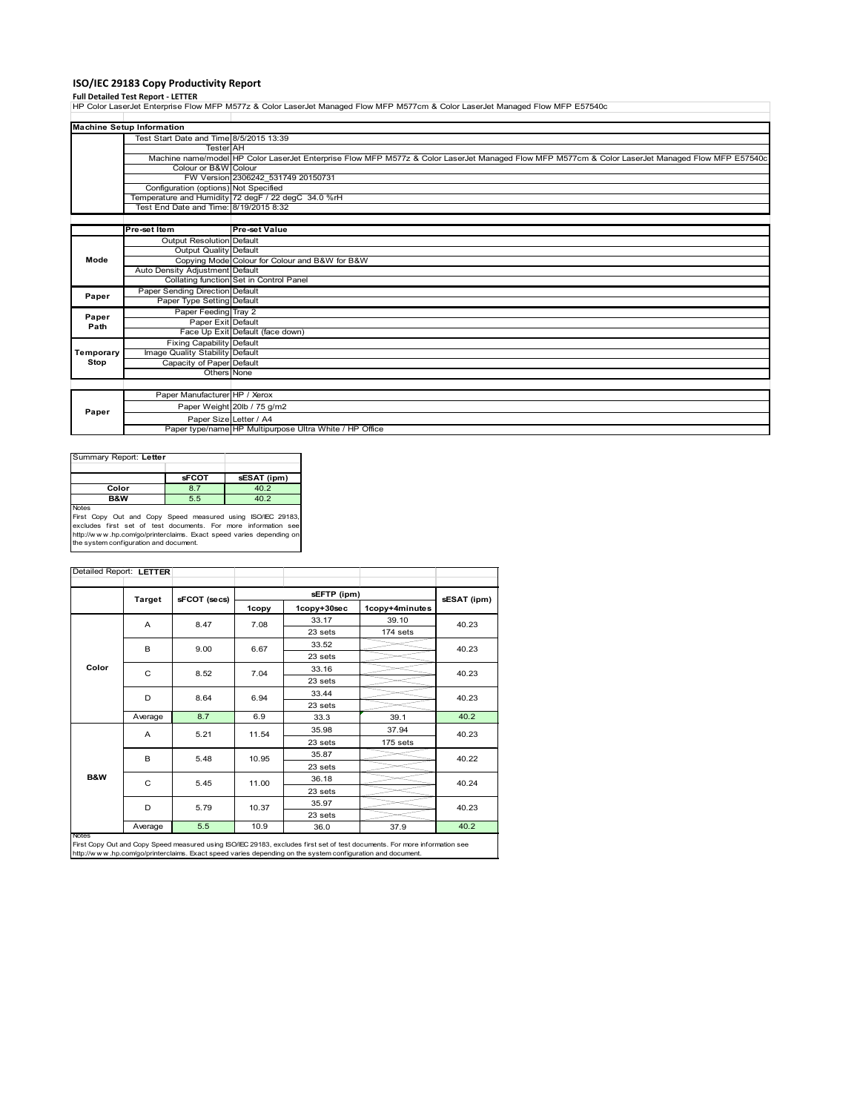# **ISO/IEC 29183 Copy Productivity Report**

**Full Detailed Test Report ‐ LETTER** HP Color LaserJet Enterprise Flow MFP M577z & Color LaserJet Managed Flow MFP M577cm & Color LaserJet Managed Flow MFP E57540c

|                                                                                                                                                                           | <b>Machine Setup Information</b>        |                                                         |  |  |  |
|---------------------------------------------------------------------------------------------------------------------------------------------------------------------------|-----------------------------------------|---------------------------------------------------------|--|--|--|
|                                                                                                                                                                           | Test Start Date and Time 8/5/2015 13:39 |                                                         |  |  |  |
|                                                                                                                                                                           | <b>Tester</b> AH                        |                                                         |  |  |  |
| Machine name/model HP Color LaserJet Enterprise Flow MFP M577z & Color LaserJet Managed Flow MFP M577cm & Color LaserJet Managed Flow MFP E57540c<br>Colour or B&W Colour |                                         |                                                         |  |  |  |
|                                                                                                                                                                           |                                         |                                                         |  |  |  |
|                                                                                                                                                                           | Configuration (options) Not Specified   |                                                         |  |  |  |
|                                                                                                                                                                           |                                         | Temperature and Humidity 72 degF / 22 degC 34.0 %rH     |  |  |  |
|                                                                                                                                                                           | Test End Date and Time: 8/19/2015 8:32  |                                                         |  |  |  |
|                                                                                                                                                                           |                                         |                                                         |  |  |  |
|                                                                                                                                                                           | Pre-set Item                            | <b>Pre-set Value</b>                                    |  |  |  |
|                                                                                                                                                                           | Output Resolution Default               |                                                         |  |  |  |
|                                                                                                                                                                           | Output Quality Default                  |                                                         |  |  |  |
| Mode                                                                                                                                                                      |                                         | Copying Mode Colour for Colour and B&W for B&W          |  |  |  |
|                                                                                                                                                                           | Auto Density Adjustment Default         |                                                         |  |  |  |
|                                                                                                                                                                           |                                         | Collating function Set in Control Panel                 |  |  |  |
| Paper                                                                                                                                                                     | Paper Sending Direction Default         |                                                         |  |  |  |
|                                                                                                                                                                           | Paper Type Setting Default              |                                                         |  |  |  |
| Paper                                                                                                                                                                     | Paper Feeding Tray 2                    |                                                         |  |  |  |
| Path                                                                                                                                                                      | Paper Exit Default                      |                                                         |  |  |  |
|                                                                                                                                                                           |                                         | Face Up Exit Default (face down)                        |  |  |  |
|                                                                                                                                                                           | <b>Fixing Capability Default</b>        |                                                         |  |  |  |
| Temporary                                                                                                                                                                 | Image Quality Stability Default         |                                                         |  |  |  |
| Stop                                                                                                                                                                      | Capacity of Paper Default               |                                                         |  |  |  |
|                                                                                                                                                                           | Others None                             |                                                         |  |  |  |
|                                                                                                                                                                           |                                         |                                                         |  |  |  |
|                                                                                                                                                                           | Paper Manufacturer HP / Xerox           |                                                         |  |  |  |
| Paper                                                                                                                                                                     |                                         | Paper Weight 20lb / 75 g/m2                             |  |  |  |
|                                                                                                                                                                           | Paper Size Letter / A4                  |                                                         |  |  |  |
|                                                                                                                                                                           |                                         | Paper type/name HP Multipurpose Ultra White / HP Office |  |  |  |

| Summary Report: Letter                                                        |              |             |
|-------------------------------------------------------------------------------|--------------|-------------|
|                                                                               |              |             |
|                                                                               | <b>sFCOT</b> | sESAT (ipm) |
| Color                                                                         | 8.7          | 40.2        |
| <b>B&amp;W</b>                                                                | 5.5          | 40.2        |
| <b>Notes</b><br>Capu Out and Capu Spood moogurad using ISO/IEC 20192<br>Eirat |              |             |

First Copy Out and Copy Speed measured using ISO/IEC 29183,<br>excludes first set of test documents. For more information see<br>http://www.hp.com/go/printerclaims. Exact speed varies depending on<br>the system.configuration and do

|                | Detailed Report: LETTER |              |       |             |                |             |  |
|----------------|-------------------------|--------------|-------|-------------|----------------|-------------|--|
|                |                         |              |       | sEFTP (ipm) |                |             |  |
|                | <b>Target</b>           | sFCOT (secs) | 1copy | 1copy+30sec | 1copy+4minutes | sESAT (ipm) |  |
|                | A                       | 8.47         | 7.08  | 33.17       | 39.10          | 40.23       |  |
|                |                         |              |       | 23 sets     | 174 sets       |             |  |
|                | B                       | 9.00         | 6.67  | 33.52       |                | 40.23       |  |
|                |                         |              |       | 23 sets     |                |             |  |
| Color          | C                       | 8.52         | 7.04  | 33.16       |                | 40.23       |  |
|                |                         |              |       | 23 sets     |                |             |  |
|                | D                       | 8.64         | 6.94  | 33.44       |                | 40.23       |  |
|                |                         |              |       | 23 sets     |                |             |  |
|                | Average                 | 8.7          | 6.9   | 33.3        | 39.1           | 40.2        |  |
|                | A                       | 5.21         | 11.54 | 35.98       | 37.94          | 40.23       |  |
|                |                         |              |       | 23 sets     | 175 sets       |             |  |
|                | B                       | 5.48         | 10.95 | 35.87       |                | 40.22       |  |
|                |                         |              |       | 23 sets     |                |             |  |
| <b>B&amp;W</b> | C                       | 5.45         | 11.00 | 36.18       |                | 40.24       |  |
|                |                         |              |       | 23 sets     |                |             |  |
|                | D                       | 5.79         | 10.37 | 35.97       |                | 40.23       |  |
|                |                         |              |       | 23 sets     |                |             |  |
|                | Average                 | 5.5          | 10.9  | 36.0        | 37.9           | 40.2        |  |

First Copy Out and Copy Speed measured using ISO/IEC 29183, excludes first set of test documents. For more information see<br>http://w w w .hp.com/go/printerclaims. Exact speed varies depending on the system configuration and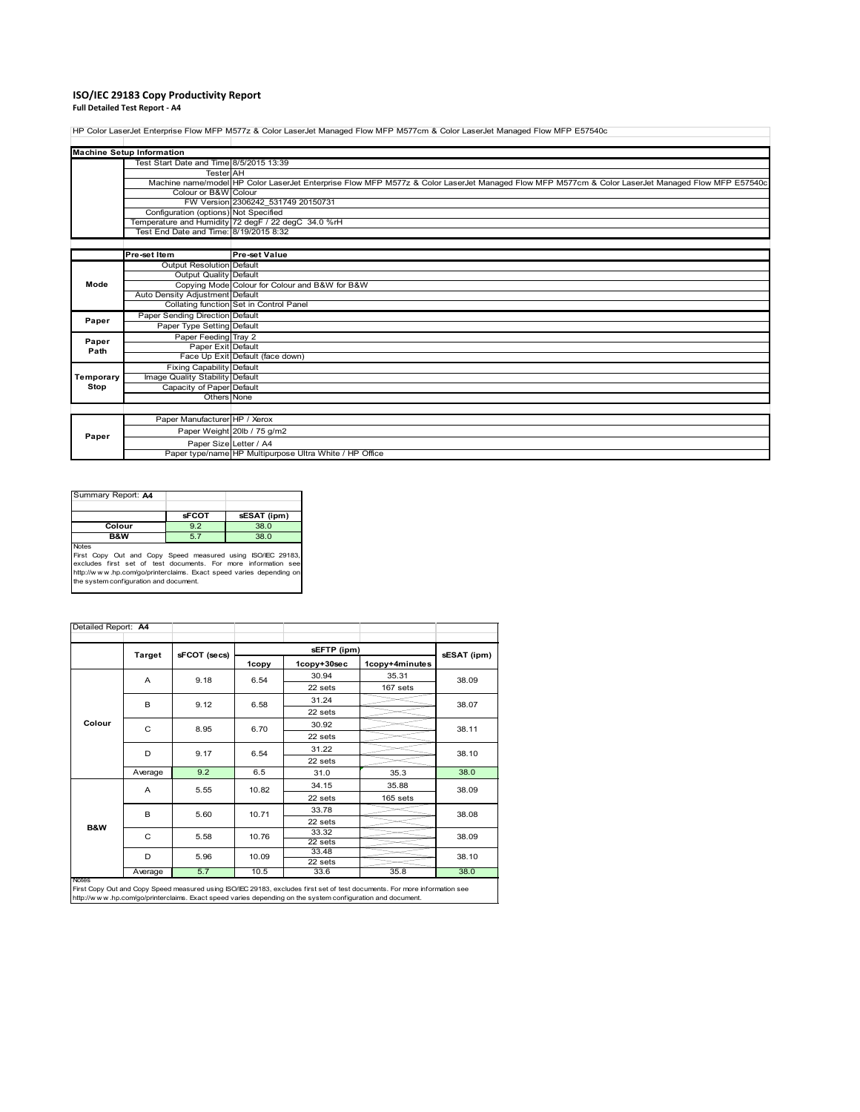### **ISO/IEC 29183 Copy Productivity Report Full Detailed Test Report ‐ A4**

HP Color LaserJet Enterprise Flow MFP M577z & Color LaserJet Managed Flow MFP M577cm & Color LaserJet Managed Flow MFP E57540c

|           | <b>Machine Setup Information</b>        |                                                                                                                                                   |
|-----------|-----------------------------------------|---------------------------------------------------------------------------------------------------------------------------------------------------|
|           | Test Start Date and Time 8/5/2015 13:39 |                                                                                                                                                   |
|           | <b>TesterAH</b>                         |                                                                                                                                                   |
|           |                                         | Machine name/model HP Color LaserJet Enterprise Flow MFP M577z & Color LaserJet Managed Flow MFP M577cm & Color LaserJet Managed Flow MFP E57540c |
|           | Colour or B&W Colour                    |                                                                                                                                                   |
|           |                                         | FW Version 2306242 531749 20150731                                                                                                                |
|           | Configuration (options) Not Specified   |                                                                                                                                                   |
|           |                                         | Temperature and Humidity 72 degF / 22 degC 34.0 %rH                                                                                               |
|           | Test End Date and Time: 8/19/2015 8:32  |                                                                                                                                                   |
|           |                                         |                                                                                                                                                   |
|           | Pre-set Item                            | <b>Pre-set Value</b>                                                                                                                              |
|           | Output Resolution Default               |                                                                                                                                                   |
|           | Output Quality Default                  |                                                                                                                                                   |
| Mode      |                                         | Copying Mode Colour for Colour and B&W for B&W                                                                                                    |
|           | Auto Density Adjustment Default         |                                                                                                                                                   |
|           |                                         | Collating function Set in Control Panel                                                                                                           |
| Paper     | Paper Sending Direction Default         |                                                                                                                                                   |
|           | Paper Type Setting Default              |                                                                                                                                                   |
| Paper     | Paper Feeding Tray 2                    |                                                                                                                                                   |
| Path      | Paper Exit Default                      |                                                                                                                                                   |
|           |                                         | Face Up Exit Default (face down)                                                                                                                  |
|           | <b>Fixing Capability Default</b>        |                                                                                                                                                   |
| Temporary | Image Quality Stability Default         |                                                                                                                                                   |
| Stop      | Capacity of Paper Default               |                                                                                                                                                   |
|           | Others None                             |                                                                                                                                                   |
|           |                                         |                                                                                                                                                   |
|           | Paper Manufacturer HP / Xerox           |                                                                                                                                                   |
| Paper     |                                         | Paper Weight 20lb / 75 g/m2                                                                                                                       |
|           | Paper Size Letter / A4                  |                                                                                                                                                   |
|           |                                         | Paper type/name HP Multipurpose Ultra White / HP Office                                                                                           |

| Summary Report: A4                                                                                                                                                                                                                                             |              |             |
|----------------------------------------------------------------------------------------------------------------------------------------------------------------------------------------------------------------------------------------------------------------|--------------|-------------|
|                                                                                                                                                                                                                                                                | <b>sFCOT</b> | sESAT (ipm) |
| Colour                                                                                                                                                                                                                                                         | 9.2          | 38.0        |
| <b>B&amp;W</b>                                                                                                                                                                                                                                                 | 5.7          | 38.0        |
| <b>Notes</b><br>First Copy Out and Copy Speed measured using ISO/IEC 29183,<br>excludes first set of test documents. For more information see<br>http://www.hp.com/go/printerclaims. Exact speed varies depending on<br>the system configuration and document. |              |             |

|                | <b>Target</b> | sFCOT (secs) |               | sESAT (ipm)      |                |       |  |
|----------------|---------------|--------------|---------------|------------------|----------------|-------|--|
|                |               |              | 1copy         | 1copy+30sec      | 1copy+4minutes |       |  |
|                | A             | 9.18         | 6.54          | 30.94            | 35.31          | 38.09 |  |
|                |               |              |               | 22 sets          | 167 sets       |       |  |
|                | B             | 9.12         | 6.58          | 31.24            |                | 38.07 |  |
|                |               |              |               | 22 sets          |                |       |  |
| Colour         | $\mathsf{C}$  | 8.95         | 6.70          | 30.92            |                | 38.11 |  |
|                |               |              |               | 22 sets          |                |       |  |
|                | D             | 9.17         | 6.54          | 31.22            |                | 38.10 |  |
|                |               |              |               | 22 sets          |                |       |  |
|                | Average       | 9.2          | 6.5           | 31.0             | 35.3           | 38.0  |  |
|                | A             | 5.55         | 10.82         | 34.15            | 35.88          | 38.09 |  |
|                |               |              |               | 22 sets          | 165 sets       |       |  |
|                | B             |              | 5.60<br>10.71 | 33.78            |                | 38.08 |  |
| <b>B&amp;W</b> |               |              |               | 22 sets          |                |       |  |
|                | C             | 5.58         | 10.76         | 33.32            |                | 38.09 |  |
|                |               |              |               | 22 sets<br>33.48 |                |       |  |
|                | D             | 5.96         | 10.09         | $22$ sets        |                | 38.10 |  |
|                | Average       | 5.7          | 10.5          | 33.6             | 35.8           | 38.0  |  |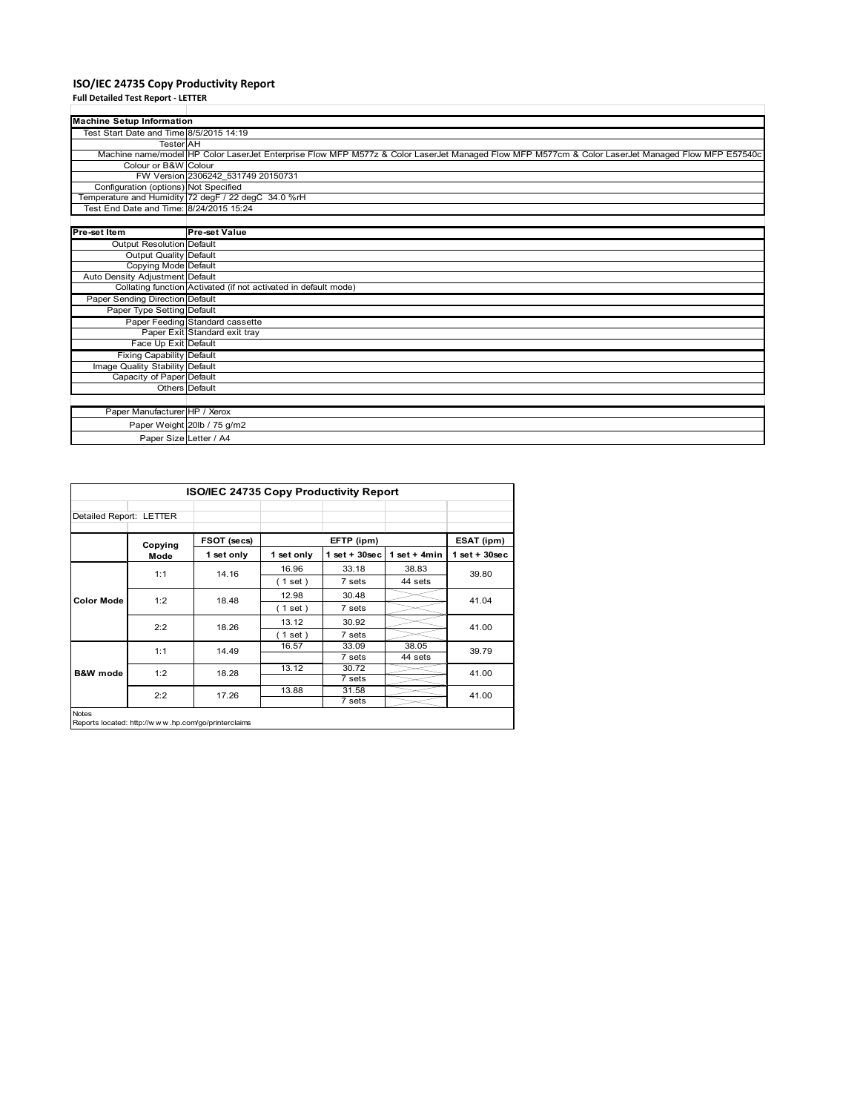# **ISO/IEC 24735 Copy Productivity Report Full Detailed Test Report ‐ LETTER**

| <b>Machine Setup Information</b>        |                                                                                                                                                   |
|-----------------------------------------|---------------------------------------------------------------------------------------------------------------------------------------------------|
| Test Start Date and Time 8/5/2015 14:19 |                                                                                                                                                   |
| <b>Tester</b> AH                        |                                                                                                                                                   |
|                                         | Machine name/model HP Color LaserJet Enterprise Flow MFP M577z & Color LaserJet Managed Flow MFP M577cm & Color LaserJet Managed Flow MFP E57540c |
| Colour or B&W Colour                    |                                                                                                                                                   |
|                                         | FW Version 2306242 531749 20150731                                                                                                                |
| Configuration (options) Not Specified   |                                                                                                                                                   |
|                                         | Temperature and Humidity 72 degF / 22 degC 34.0 %rH                                                                                               |
| Test End Date and Time: 8/24/2015 15:24 |                                                                                                                                                   |
|                                         |                                                                                                                                                   |
| Pre-set Item                            | <b>Pre-set Value</b>                                                                                                                              |
| <b>Output Resolution Default</b>        |                                                                                                                                                   |
| Output Quality Default                  |                                                                                                                                                   |
| Copying Mode Default                    |                                                                                                                                                   |
| Auto Density Adjustment Default         |                                                                                                                                                   |
|                                         | Collating function Activated (if not activated in default mode)                                                                                   |
| Paper Sending Direction Default         |                                                                                                                                                   |
| Paper Type Setting Default              |                                                                                                                                                   |
|                                         | Paper Feeding Standard cassette                                                                                                                   |
|                                         | Paper Exit Standard exit tray                                                                                                                     |
| Face Up Exit Default                    |                                                                                                                                                   |
| <b>Fixing Capability Default</b>        |                                                                                                                                                   |
| Image Quality Stability Default         |                                                                                                                                                   |
| Capacity of Paper Default               |                                                                                                                                                   |
|                                         | <b>Others</b> Default                                                                                                                             |
|                                         |                                                                                                                                                   |
| Paper Manufacturer HP / Xerox           |                                                                                                                                                   |
|                                         | Paper Weight 20lb / 75 g/m2                                                                                                                       |
|                                         | Paper Size Letter / A4                                                                                                                            |
|                                         |                                                                                                                                                   |

|                         |         | ISO/IEC 24735 Copy Productivity Report |            |                    |                |                    |
|-------------------------|---------|----------------------------------------|------------|--------------------|----------------|--------------------|
| Detailed Report: LETTER |         |                                        |            |                    |                |                    |
|                         | Copying | FSOT (secs)                            |            | EFTP (ipm)         |                | ESAT (ipm)         |
|                         | Mode    | 1 set only                             | 1 set only | $1$ set + $30$ sec | 1 set $+$ 4min | $1$ set + $30$ sec |
|                         | 1:1     | 14.16                                  | 16.96      | 33.18              | 38.83          | 39.80              |
|                         |         |                                        | (1 set)    | 7 sets             | 44 sets        |                    |
| <b>Color Mode</b>       | 1:2     | 18.48                                  | 12.98      | 30.48              |                | 41.04              |
|                         |         |                                        | (1 set)    | 7 sets             |                |                    |
|                         | 2:2     | 18.26                                  | 13.12      | 30.92              |                | 41.00              |
|                         |         |                                        | $1$ set)   | 7 sets             |                |                    |
|                         | 1:1     | 14.49                                  | 16.57      | 33.09              | 38.05          | 39.79              |
|                         |         |                                        |            | 7 sets             | 44 sets        |                    |
| <b>B&amp;W</b> mode     | 1:2     | 18.28                                  | 13.12      | 30.72              |                | 41.00              |
|                         |         |                                        |            | 7 sets             |                |                    |
|                         | 2:2     | 17.26                                  | 13.88      | 31.58              |                | 41.00              |
|                         |         |                                        |            | 7 sets             |                |                    |

Notes Reports located: http://w w w .hp.com/go/printerclaims